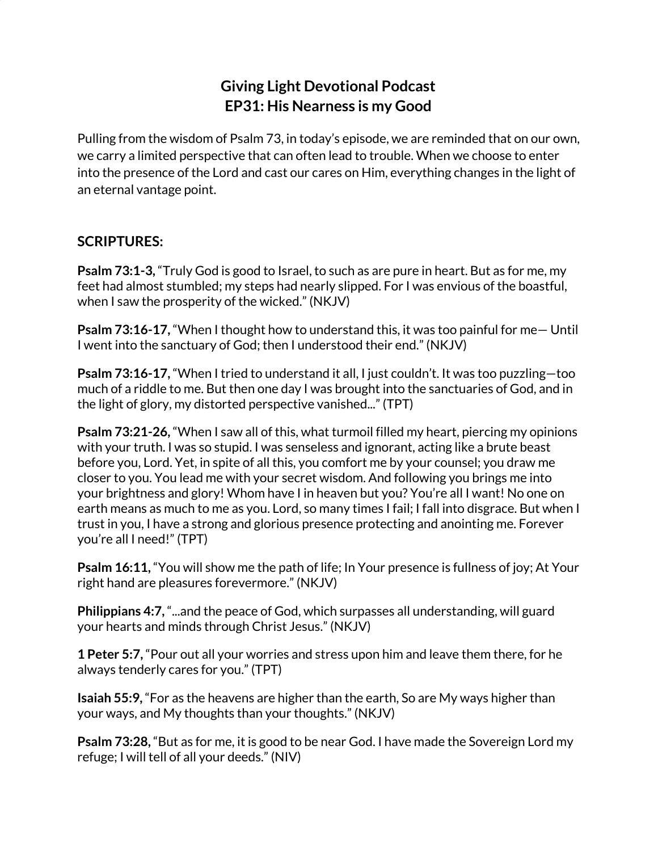## **Giving Light Devotional Podcast EP31: His Nearness is my Good**

Pulling from the wisdom of Psalm 73, in today's episode, we are reminded that on our own, we carry a limited perspective that can often lead to trouble. When we choose to enter into the presence of the Lord and cast our cares on Him, everything changes in the light of an eternal vantage point.

## **SCRIPTURES:**

**Psalm 73:1-3,** "Truly God is good to Israel, to such as are pure in heart. But as for me, my feet had almost stumbled; my steps had nearly slipped. For I was envious of the boastful, when I saw the prosperity of the wicked." (NKJV)

**Psalm 73:16-17,** "When I thought how to understand this, it was too painful for me— Until I went into the sanctuary of God; then I understood their end." (NKJV)

**Psalm 73:16-17,** "When I tried to understand it all, I just couldn't. It was too puzzling—too much of a riddle to me. But then one day I was brought into the sanctuaries of God, and in the light of glory, my distorted perspective vanished..." (TPT)

**Psalm 73:21-26,** "When I saw all of this, what turmoil filled my heart, piercing my opinions with your truth. I was so stupid. I was senseless and ignorant, acting like a brute beast before you, Lord. Yet, in spite of all this, you comfort me by your counsel; you draw me closer to you. You lead me with your secret wisdom. And following you brings me into your brightness and glory! Whom have I in heaven but you? You're all I want! No one on earth means as much to me as you. Lord, so many times I fail; I fall into disgrace. But when I trust in you, I have a strong and glorious presence protecting and anointing me. Forever you're all I need!" (TPT)

**Psalm 16:11,** "You will show me the path of life; In Your presence is fullness of joy; At Your right hand are pleasures forevermore." (NKJV)

**Philippians 4:7,** "...and the peace of God, which surpasses all understanding, will guard your hearts and minds through Christ Jesus." (NKJV)

**1 Peter 5:7,** "Pour out all your worries and stress upon him and leave them there, for he always tenderly cares for you." (TPT)

**Isaiah 55:9,** "For as the heavens are higher than the earth, So are My ways higher than your ways, and My thoughts than your thoughts." (NKJV)

**Psalm 73:28,** "But as for me, it is good to be near God. I have made the Sovereign Lord my refuge; I will tell of all your deeds." (NIV)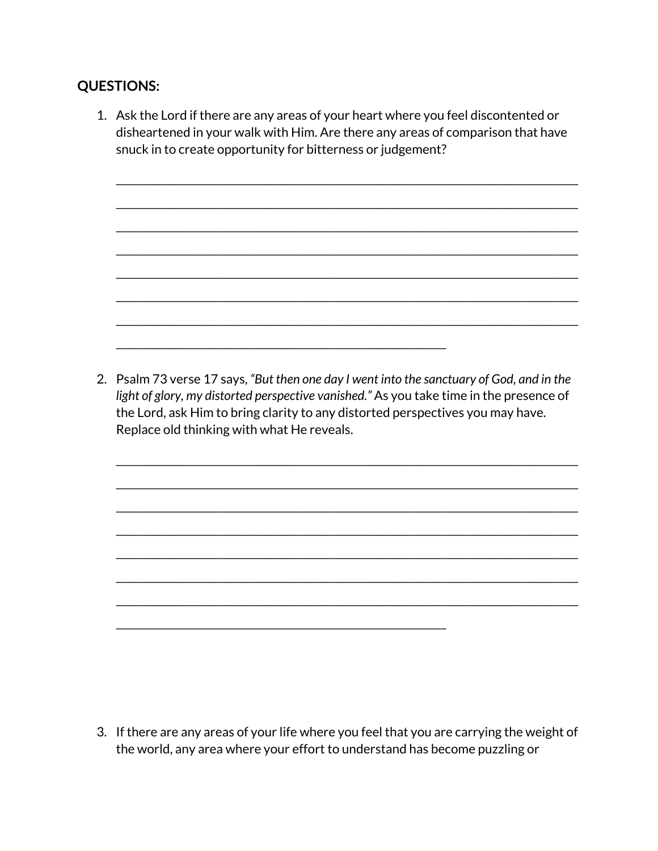## **QUESTIONS:**

1. Ask the Lord if there are any areas of your heart where you feel discontented or disheartened in your walk with Him. Are there any areas of comparison that have snuck in to create opportunity for bitterness or judgement?

2. Psalm 73 verse 17 says, "But then one day I went into the sanctuary of God, and in the light of glory, my distorted perspective vanished." As you take time in the presence of the Lord, ask Him to bring clarity to any distorted perspectives you may have. Replace old thinking with what He reveals.

3. If there are any areas of your life where you feel that you are carrying the weight of the world, any area where your effort to understand has become puzzling or